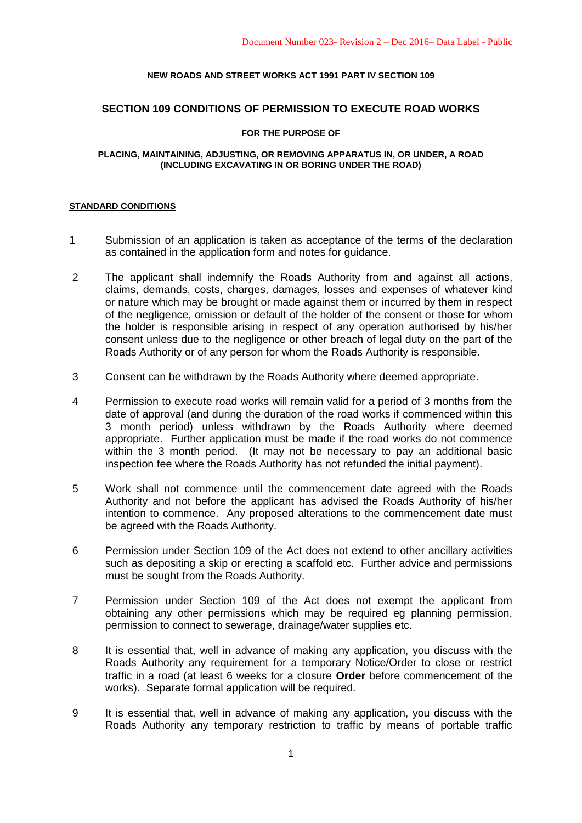## **NEW ROADS AND STREET WORKS ACT 1991 PART IV SECTION 109**

#### **SECTION 109 CONDITIONS OF PERMISSION TO EXECUTE ROAD WORKS**

#### **FOR THE PURPOSE OF**

#### **PLACING, MAINTAINING, ADJUSTING, OR REMOVING APPARATUS IN, OR UNDER, A ROAD (INCLUDING EXCAVATING IN OR BORING UNDER THE ROAD)**

#### **STANDARD CONDITIONS**

- 1 Submission of an application is taken as acceptance of the terms of the declaration as contained in the application form and notes for guidance.
- 2 The applicant shall indemnify the Roads Authority from and against all actions, claims, demands, costs, charges, damages, losses and expenses of whatever kind or nature which may be brought or made against them or incurred by them in respect of the negligence, omission or default of the holder of the consent or those for whom the holder is responsible arising in respect of any operation authorised by his/her consent unless due to the negligence or other breach of legal duty on the part of the Roads Authority or of any person for whom the Roads Authority is responsible.
- 3 Consent can be withdrawn by the Roads Authority where deemed appropriate.
- 4 Permission to execute road works will remain valid for a period of 3 months from the date of approval (and during the duration of the road works if commenced within this 3 month period) unless withdrawn by the Roads Authority where deemed appropriate. Further application must be made if the road works do not commence within the 3 month period. (It may not be necessary to pay an additional basic inspection fee where the Roads Authority has not refunded the initial payment).
- 5 Work shall not commence until the commencement date agreed with the Roads Authority and not before the applicant has advised the Roads Authority of his/her intention to commence. Any proposed alterations to the commencement date must be agreed with the Roads Authority.
- 6 Permission under Section 109 of the Act does not extend to other ancillary activities such as depositing a skip or erecting a scaffold etc. Further advice and permissions must be sought from the Roads Authority.
- 7 Permission under Section 109 of the Act does not exempt the applicant from obtaining any other permissions which may be required eg planning permission, permission to connect to sewerage, drainage/water supplies etc.
- 8 It is essential that, well in advance of making any application, you discuss with the Roads Authority any requirement for a temporary Notice/Order to close or restrict traffic in a road (at least 6 weeks for a closure **Order** before commencement of the works). Separate formal application will be required.
- 9 It is essential that, well in advance of making any application, you discuss with the Roads Authority any temporary restriction to traffic by means of portable traffic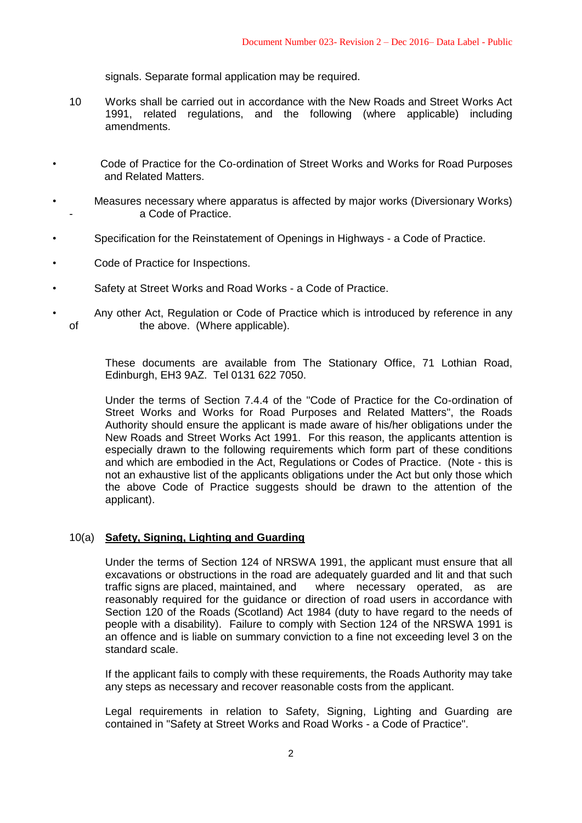signals. Separate formal application may be required.

- 10 Works shall be carried out in accordance with the New Roads and Street Works Act 1991, related regulations, and the following (where applicable) including amendments.
- Code of Practice for the Co-ordination of Street Works and Works for Road Purposes and Related Matters.
- Measures necessary where apparatus is affected by major works (Diversionary Works) a Code of Practice.
- Specification for the Reinstatement of Openings in Highways a Code of Practice.
- Code of Practice for Inspections.
- Safety at Street Works and Road Works a Code of Practice.
- Any other Act, Regulation or Code of Practice which is introduced by reference in any of the above. (Where applicable).

These documents are available from The Stationary Office, 71 Lothian Road, Edinburgh, EH3 9AZ. Tel 0131 622 7050.

Under the terms of Section 7.4.4 of the "Code of Practice for the Co-ordination of Street Works and Works for Road Purposes and Related Matters", the Roads Authority should ensure the applicant is made aware of his/her obligations under the New Roads and Street Works Act 1991. For this reason, the applicants attention is especially drawn to the following requirements which form part of these conditions and which are embodied in the Act, Regulations or Codes of Practice. (Note - this is not an exhaustive list of the applicants obligations under the Act but only those which the above Code of Practice suggests should be drawn to the attention of the applicant).

# 10(a) **Safety, Signing, Lighting and Guarding**

Under the terms of Section 124 of NRSWA 1991, the applicant must ensure that all excavations or obstructions in the road are adequately guarded and lit and that such traffic signs are placed, maintained, and where necessary operated, as are reasonably required for the guidance or direction of road users in accordance with Section 120 of the Roads (Scotland) Act 1984 (duty to have regard to the needs of people with a disability). Failure to comply with Section 124 of the NRSWA 1991 is an offence and is liable on summary conviction to a fine not exceeding level 3 on the standard scale.

If the applicant fails to comply with these requirements, the Roads Authority may take any steps as necessary and recover reasonable costs from the applicant.

Legal requirements in relation to Safety, Signing, Lighting and Guarding are contained in "Safety at Street Works and Road Works - a Code of Practice".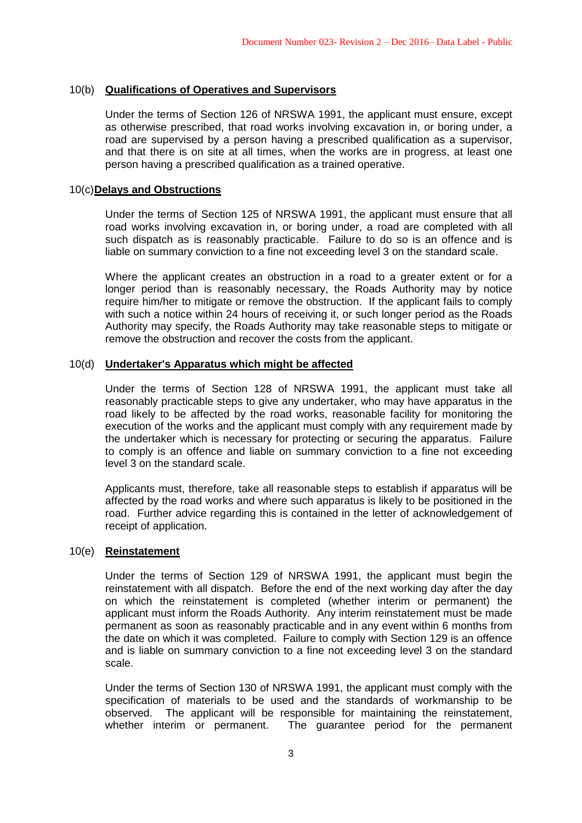# 10(b) **Qualifications of Operatives and Supervisors**

Under the terms of Section 126 of NRSWA 1991, the applicant must ensure, except as otherwise prescribed, that road works involving excavation in, or boring under, a road are supervised by a person having a prescribed qualification as a supervisor, and that there is on site at all times, when the works are in progress, at least one person having a prescribed qualification as a trained operative.

### 10(c)**Delays and Obstructions**

Under the terms of Section 125 of NRSWA 1991, the applicant must ensure that all road works involving excavation in, or boring under, a road are completed with all such dispatch as is reasonably practicable. Failure to do so is an offence and is liable on summary conviction to a fine not exceeding level 3 on the standard scale.

Where the applicant creates an obstruction in a road to a greater extent or for a longer period than is reasonably necessary, the Roads Authority may by notice require him/her to mitigate or remove the obstruction. If the applicant fails to comply with such a notice within 24 hours of receiving it, or such longer period as the Roads Authority may specify, the Roads Authority may take reasonable steps to mitigate or remove the obstruction and recover the costs from the applicant.

## 10(d) **Undertaker's Apparatus which might be affected**

Under the terms of Section 128 of NRSWA 1991, the applicant must take all reasonably practicable steps to give any undertaker, who may have apparatus in the road likely to be affected by the road works, reasonable facility for monitoring the execution of the works and the applicant must comply with any requirement made by the undertaker which is necessary for protecting or securing the apparatus. Failure to comply is an offence and liable on summary conviction to a fine not exceeding level 3 on the standard scale.

Applicants must, therefore, take all reasonable steps to establish if apparatus will be affected by the road works and where such apparatus is likely to be positioned in the road. Further advice regarding this is contained in the letter of acknowledgement of receipt of application.

### 10(e) **Reinstatement**

Under the terms of Section 129 of NRSWA 1991, the applicant must begin the reinstatement with all dispatch. Before the end of the next working day after the day on which the reinstatement is completed (whether interim or permanent) the applicant must inform the Roads Authority. Any interim reinstatement must be made permanent as soon as reasonably practicable and in any event within 6 months from the date on which it was completed. Failure to comply with Section 129 is an offence and is liable on summary conviction to a fine not exceeding level 3 on the standard scale.

Under the terms of Section 130 of NRSWA 1991, the applicant must comply with the specification of materials to be used and the standards of workmanship to be observed. The applicant will be responsible for maintaining the reinstatement, whether interim or permanent. The guarantee period for the permanent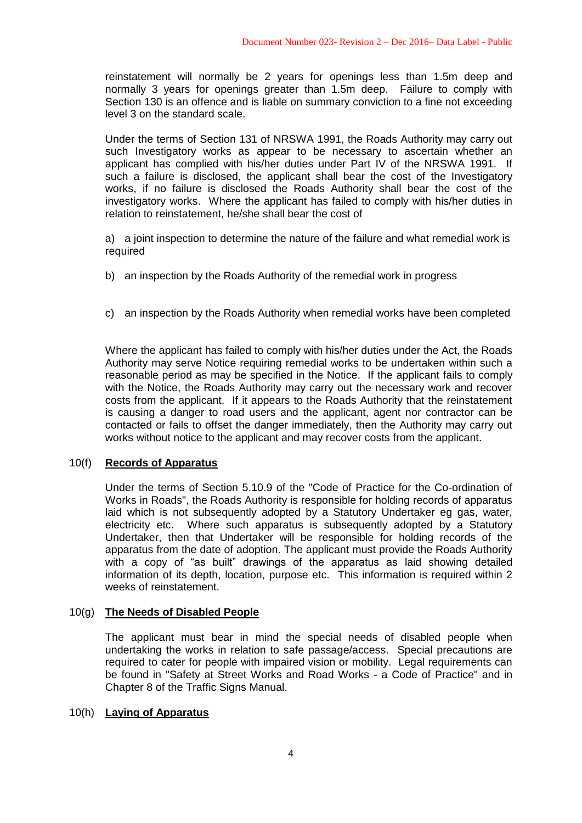reinstatement will normally be 2 years for openings less than 1.5m deep and normally 3 years for openings greater than 1.5m deep. Failure to comply with Section 130 is an offence and is liable on summary conviction to a fine not exceeding level 3 on the standard scale.

Under the terms of Section 131 of NRSWA 1991, the Roads Authority may carry out such Investigatory works as appear to be necessary to ascertain whether an applicant has complied with his/her duties under Part IV of the NRSWA 1991. If such a failure is disclosed, the applicant shall bear the cost of the Investigatory works, if no failure is disclosed the Roads Authority shall bear the cost of the investigatory works. Where the applicant has failed to comply with his/her duties in relation to reinstatement, he/she shall bear the cost of

a) a joint inspection to determine the nature of the failure and what remedial work is required

- b) an inspection by the Roads Authority of the remedial work in progress
- c) an inspection by the Roads Authority when remedial works have been completed

Where the applicant has failed to comply with his/her duties under the Act, the Roads Authority may serve Notice requiring remedial works to be undertaken within such a reasonable period as may be specified in the Notice. If the applicant fails to comply with the Notice, the Roads Authority may carry out the necessary work and recover costs from the applicant. If it appears to the Roads Authority that the reinstatement is causing a danger to road users and the applicant, agent nor contractor can be contacted or fails to offset the danger immediately, then the Authority may carry out works without notice to the applicant and may recover costs from the applicant.

### 10(f) **Records of Apparatus**

Under the terms of Section 5.10.9 of the "Code of Practice for the Co-ordination of Works in Roads", the Roads Authority is responsible for holding records of apparatus laid which is not subsequently adopted by a Statutory Undertaker eg gas, water, electricity etc. Where such apparatus is subsequently adopted by a Statutory Undertaker, then that Undertaker will be responsible for holding records of the apparatus from the date of adoption. The applicant must provide the Roads Authority with a copy of "as built" drawings of the apparatus as laid showing detailed information of its depth, location, purpose etc. This information is required within 2 weeks of reinstatement.

# 10(g) **The Needs of Disabled People**

The applicant must bear in mind the special needs of disabled people when undertaking the works in relation to safe passage/access. Special precautions are required to cater for people with impaired vision or mobility. Legal requirements can be found in "Safety at Street Works and Road Works - a Code of Practice" and in Chapter 8 of the Traffic Signs Manual.

### 10(h) **Laying of Apparatus**